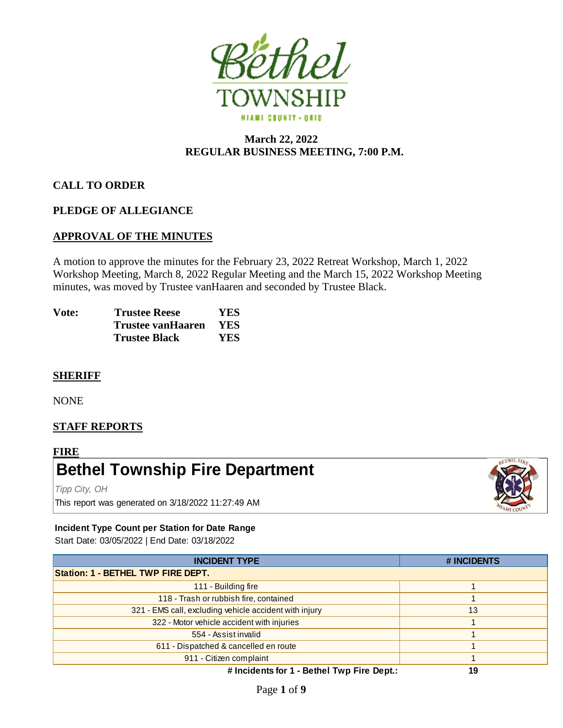

# **March 22, 2022 REGULAR BUSINESS MEETING, 7:00 P.M.**

# **CALL TO ORDER**

## **PLEDGE OF ALLEGIANCE**

# **APPROVAL OF THE MINUTES**

A motion to approve the minutes for the February 23, 2022 Retreat Workshop, March 1, 2022 Workshop Meeting, March 8, 2022 Regular Meeting and the March 15, 2022 Workshop Meeting minutes, was moved by Trustee vanHaaren and seconded by Trustee Black.

| Vote: | <b>Trustee Reese</b> | YES        |
|-------|----------------------|------------|
|       | Trustee vanHaaren    | <b>YES</b> |
|       | <b>Trustee Black</b> | <b>YES</b> |

## **SHERIFF**

NONE

# **STAFF REPORTS**

#### **FIRE**

# **Bethel Township Fire Department**

*Tipp City, OH* This report was generated on 3/18/2022 11:27:49 AM



## **Incident Type Count per Station for Date Range**

Start Date: 03/05/2022 | End Date: 03/18/2022

| <b>INCIDENT TYPE</b>                                   | # INCIDENTS |  |  |  |
|--------------------------------------------------------|-------------|--|--|--|
| <b>Station: 1 - BETHEL TWP FIRE DEPT.</b>              |             |  |  |  |
| 111 - Building fire                                    |             |  |  |  |
| 118 - Trash or rubbish fire, contained                 |             |  |  |  |
| 321 - EMS call, excluding vehicle accident with injury | 13          |  |  |  |
| 322 - Motor vehicle accident with injuries             |             |  |  |  |
| 554 - Assist invalid                                   |             |  |  |  |
| 611 - Dispatched & cancelled en route                  |             |  |  |  |
| 911 - Citizen complaint                                |             |  |  |  |
| # Incidents for 1 - Bethel Twp Fire Dept.:             | 19          |  |  |  |

Page **1** of **9**

**# Incidents for 1 - Bethel Twp Fire Dept.:**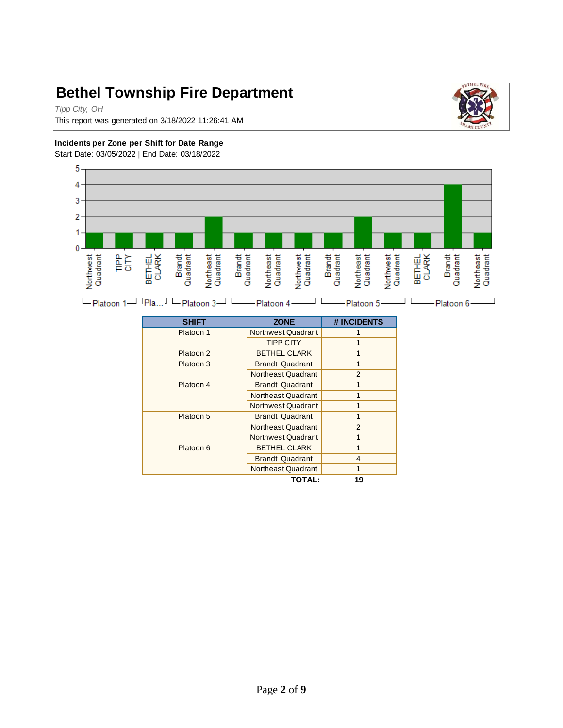# **Bethel Township Fire Department**

*Tipp City, OH*



This report was generated on 3/18/2022 11:26:41 AM

#### **Incidents per Zone per Shift for Date Range**

Start Date: 03/05/2022 | End Date: 03/18/2022



L Platoon 1<sup>-1</sup> IPla... I L Platoon 3<sup>-1</sup> L Platoon 4<sup>-1</sup> L Platoon 5- $\perp$ Platoon 6- $\Box$ 

| <b>SHIFT</b> | <b>ZONE</b>            | # INCIDENTS   |
|--------------|------------------------|---------------|
| Platoon 1    | Northwest Quadrant     |               |
|              | <b>TIPP CITY</b>       |               |
| Platoon 2    | <b>BETHEL CLARK</b>    |               |
| Platoon 3    | <b>Brandt Quadrant</b> |               |
|              | Northeast Quadrant     | $\mathcal{P}$ |
| Platoon 4    | <b>Brandt Quadrant</b> | 1             |
|              | Northeast Quadrant     |               |
|              | Northwest Quadrant     |               |
| Platoon 5    | <b>Brandt Quadrant</b> |               |
|              | Northeast Quadrant     | $\mathcal{P}$ |
|              | Northwest Quadrant     |               |
| Platoon 6    | <b>BETHEL CLARK</b>    | 1             |
|              | <b>Brandt Quadrant</b> | 4             |
|              | Northeast Quadrant     |               |
|              | TOTAL:                 | 19            |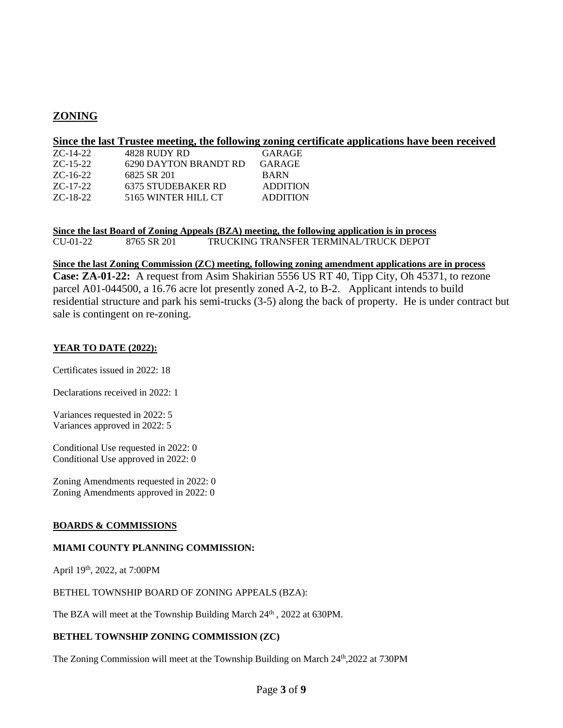# **ZONING**

#### **Since the last Trustee meeting, the following zoning certificate applications have been received**

| 4828 RUDY RD          | GARAGE          |
|-----------------------|-----------------|
| 6290 DAYTON BRANDT RD | GARAGE          |
| 6825 SR 201           | <b>BARN</b>     |
| 6375 STUDEBAKER RD    | <b>ADDITION</b> |
| 5165 WINTER HILL CT   | <b>ADDITION</b> |
|                       |                 |

**Since the last Board of Zoning Appeals (BZA) meeting, the following application is in process** CU-01-22 8765 SR 201 TRUCKING TRANSFER TERMINAL/TRUCK DEPOT

#### **Since the last Zoning Commission (ZC) meeting, following zoning amendment applications are in process**

**Case: ZA-01-22:** A request from Asim Shakirian 5556 US RT 40, Tipp City, Oh 45371, to rezone parcel A01-044500, a 16.76 acre lot presently zoned A-2, to B-2. Applicant intends to build residential structure and park his semi-trucks (3-5) along the back of property. He is under contract but sale is contingent on re-zoning.

#### **YEAR TO DATE (2022):**

Certificates issued in 2022: 18

Declarations received in 2022: 1

Variances requested in 2022: 5 Variances approved in 2022: 5

Conditional Use requested in 2022: 0 Conditional Use approved in 2022: 0

Zoning Amendments requested in 2022: 0 Zoning Amendments approved in 2022: 0

#### **BOARDS & COMMISSIONS**

#### **MIAMI COUNTY PLANNING COMMISSION:**

April 19th, 2022, at 7:00PM

BETHEL TOWNSHIP BOARD OF ZONING APPEALS (BZA):

The BZA will meet at the Township Building March 24<sup>th</sup>, 2022 at 630PM.

#### **BETHEL TOWNSHIP ZONING COMMISSION (ZC)**

The Zoning Commission will meet at the Township Building on March 24<sup>th</sup>,2022 at 730PM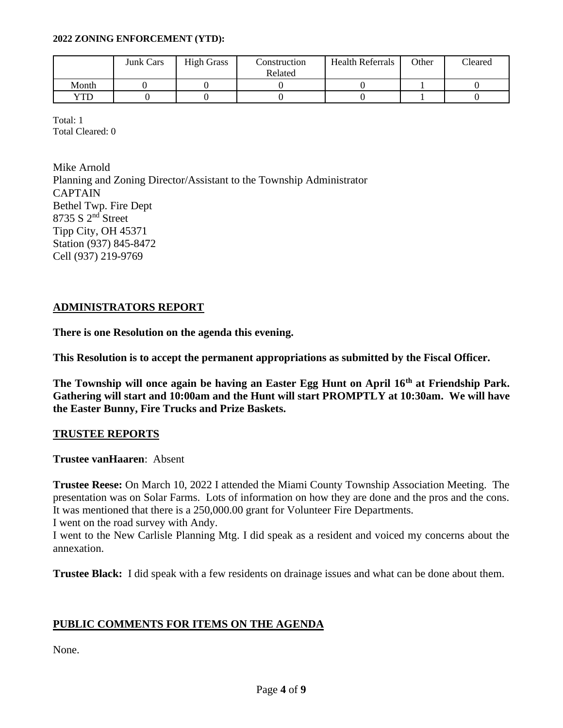### **2022 ZONING ENFORCEMENT (YTD):**

|            | <b>Junk Cars</b> | <b>High Grass</b> | Construction<br>Related | <b>Health Referrals</b> | Other | Cleared |
|------------|------------------|-------------------|-------------------------|-------------------------|-------|---------|
| Month      |                  |                   |                         |                         |       |         |
| <b>VTD</b> |                  |                   |                         |                         |       |         |

Total: 1 Total Cleared: 0

Mike Arnold

Planning and Zoning Director/Assistant to the Township Administrator **CAPTAIN** Bethel Twp. Fire Dept 8735 S 2<sup>nd</sup> Street Tipp City, OH 45371 Station (937) 845-8472 Cell (937) 219-9769

# **ADMINISTRATORS REPORT**

**There is one Resolution on the agenda this evening.**

**This Resolution is to accept the permanent appropriations as submitted by the Fiscal Officer.**

**The Township will once again be having an Easter Egg Hunt on April 16th at Friendship Park. Gathering will start and 10:00am and the Hunt will start PROMPTLY at 10:30am. We will have the Easter Bunny, Fire Trucks and Prize Baskets.** 

# **TRUSTEE REPORTS**

**Trustee vanHaaren**: Absent

**Trustee Reese:** On March 10, 2022 I attended the Miami County Township Association Meeting. The presentation was on Solar Farms. Lots of information on how they are done and the pros and the cons. It was mentioned that there is a 250,000.00 grant for Volunteer Fire Departments.

I went on the road survey with Andy.

I went to the New Carlisle Planning Mtg. I did speak as a resident and voiced my concerns about the annexation.

**Trustee Black:** I did speak with a few residents on drainage issues and what can be done about them.

# **PUBLIC COMMENTS FOR ITEMS ON THE AGENDA**

None.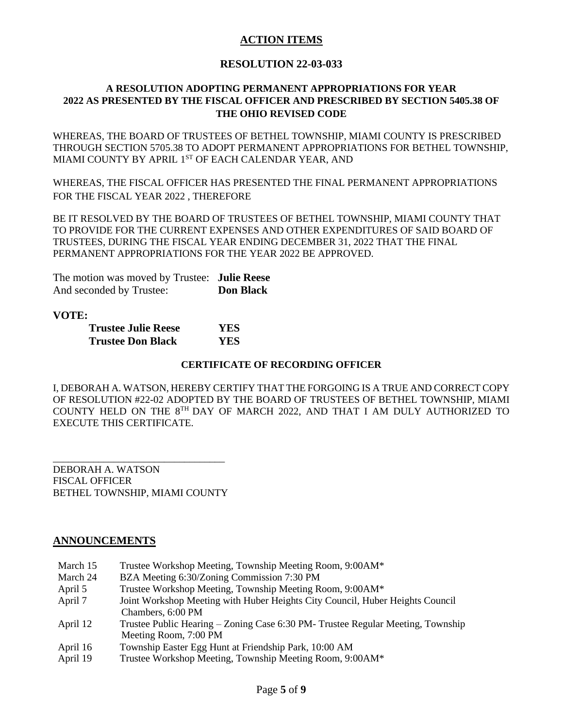# **ACTION ITEMS**

## **RESOLUTION 22-03-033**

## **A RESOLUTION ADOPTING PERMANENT APPROPRIATIONS FOR YEAR 2022 AS PRESENTED BY THE FISCAL OFFICER AND PRESCRIBED BY SECTION 5405.38 OF THE OHIO REVISED CODE**

WHEREAS, THE BOARD OF TRUSTEES OF BETHEL TOWNSHIP, MIAMI COUNTY IS PRESCRIBED THROUGH SECTION 5705.38 TO ADOPT PERMANENT APPROPRIATIONS FOR BETHEL TOWNSHIP, MIAMI COUNTY BY APRIL 1ST OF EACH CALENDAR YEAR, AND

WHEREAS, THE FISCAL OFFICER HAS PRESENTED THE FINAL PERMANENT APPROPRIATIONS FOR THE FISCAL YEAR 2022 , THEREFORE

BE IT RESOLVED BY THE BOARD OF TRUSTEES OF BETHEL TOWNSHIP, MIAMI COUNTY THAT TO PROVIDE FOR THE CURRENT EXPENSES AND OTHER EXPENDITURES OF SAID BOARD OF TRUSTEES, DURING THE FISCAL YEAR ENDING DECEMBER 31, 2022 THAT THE FINAL PERMANENT APPROPRIATIONS FOR THE YEAR 2022 BE APPROVED.

The motion was moved by Trustee: **Julie Reese** And seconded by Trustee: **Don Black**

**VOTE:**

| <b>Trustee Julie Reese</b> | YES |
|----------------------------|-----|
| <b>Trustee Don Black</b>   | YES |

## **CERTIFICATE OF RECORDING OFFICER**

I, DEBORAH A. WATSON, HEREBY CERTIFY THAT THE FORGOING IS A TRUE AND CORRECT COPY OF RESOLUTION #22-02 ADOPTED BY THE BOARD OF TRUSTEES OF BETHEL TOWNSHIP, MIAMI COUNTY HELD ON THE 8TH DAY OF MARCH 2022, AND THAT I AM DULY AUTHORIZED TO EXECUTE THIS CERTIFICATE.

DEBORAH A. WATSON FISCAL OFFICER BETHEL TOWNSHIP, MIAMI COUNTY

\_\_\_\_\_\_\_\_\_\_\_\_\_\_\_\_\_\_\_\_\_\_\_\_\_\_\_\_\_\_\_\_\_\_

## **ANNOUNCEMENTS**

| March 15 | Trustee Workshop Meeting, Township Meeting Room, 9:00AM*                        |
|----------|---------------------------------------------------------------------------------|
| March 24 | BZA Meeting 6:30/Zoning Commission 7:30 PM                                      |
| April 5  | Trustee Workshop Meeting, Township Meeting Room, 9:00AM*                        |
| April 7  | Joint Workshop Meeting with Huber Heights City Council, Huber Heights Council   |
|          | Chambers, 6:00 PM                                                               |
| April 12 | Trustee Public Hearing – Zoning Case 6:30 PM- Trustee Regular Meeting, Township |
|          | Meeting Room, 7:00 PM                                                           |
| April 16 | Township Easter Egg Hunt at Friendship Park, 10:00 AM                           |
| April 19 | Trustee Workshop Meeting, Township Meeting Room, 9:00AM*                        |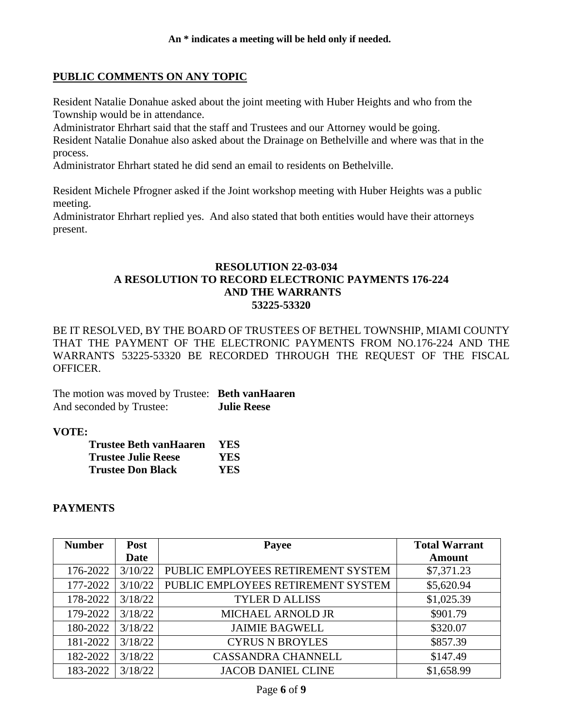## **PUBLIC COMMENTS ON ANY TOPIC**

Resident Natalie Donahue asked about the joint meeting with Huber Heights and who from the Township would be in attendance.

Administrator Ehrhart said that the staff and Trustees and our Attorney would be going. Resident Natalie Donahue also asked about the Drainage on Bethelville and where was that in the process.

Administrator Ehrhart stated he did send an email to residents on Bethelville.

Resident Michele Pfrogner asked if the Joint workshop meeting with Huber Heights was a public meeting.

Administrator Ehrhart replied yes. And also stated that both entities would have their attorneys present.

## **RESOLUTION 22-03-034 A RESOLUTION TO RECORD ELECTRONIC PAYMENTS 176-224 AND THE WARRANTS 53225-53320**

BE IT RESOLVED, BY THE BOARD OF TRUSTEES OF BETHEL TOWNSHIP, MIAMI COUNTY THAT THE PAYMENT OF THE ELECTRONIC PAYMENTS FROM NO.176-224 AND THE WARRANTS 53225-53320 BE RECORDED THROUGH THE REQUEST OF THE FISCAL OFFICER.

The motion was moved by Trustee: **Beth vanHaaren** And seconded by Trustee: **Julie Reese**

## **VOTE:**

| <b>Trustee Beth vanHaaren</b> | YES. |
|-------------------------------|------|
| <b>Trustee Julie Reese</b>    | YES. |
| <b>Trustee Don Black</b>      | YES. |

## **PAYMENTS**

| <b>Number</b> | <b>Post</b> | Payee                              | <b>Total Warrant</b> |
|---------------|-------------|------------------------------------|----------------------|
|               | <b>Date</b> |                                    | <b>Amount</b>        |
| 176-2022      | 3/10/22     | PUBLIC EMPLOYEES RETIREMENT SYSTEM | \$7,371.23           |
| 177-2022      | 3/10/22     | PUBLIC EMPLOYEES RETIREMENT SYSTEM | \$5,620.94           |
| 178-2022      | 3/18/22     | <b>TYLER D ALLISS</b>              | \$1,025.39           |
| 179-2022      | 3/18/22     | MICHAEL ARNOLD JR                  | \$901.79             |
| 180-2022      | 3/18/22     | <b>JAIMIE BAGWELL</b>              | \$320.07             |
| 181-2022      | 3/18/22     | <b>CYRUS N BROYLES</b>             | \$857.39             |
| 182-2022      | 3/18/22     | <b>CASSANDRA CHANNELL</b>          | \$147.49             |
| 183-2022      | 3/18/22     | <b>JACOB DANIEL CLINE</b>          | \$1,658.99           |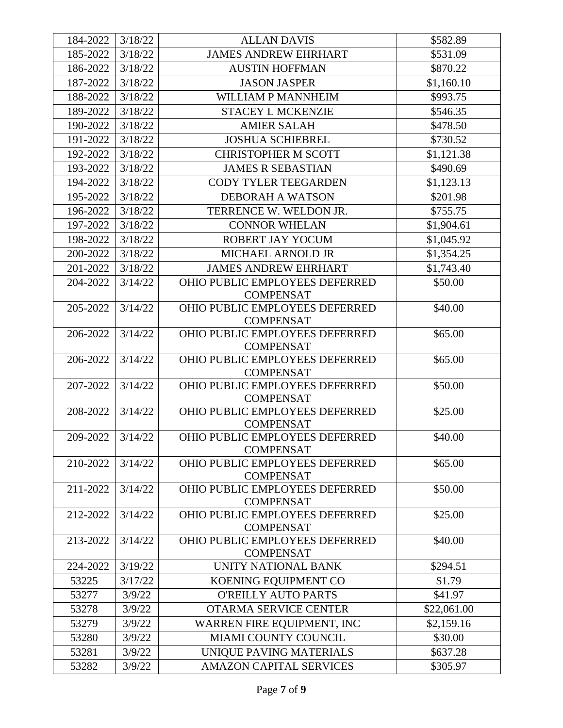| 184-2022 | 3/18/22 | <b>ALLAN DAVIS</b>                                 | \$582.89    |
|----------|---------|----------------------------------------------------|-------------|
| 185-2022 | 3/18/22 | <b>JAMES ANDREW EHRHART</b>                        | \$531.09    |
| 186-2022 | 3/18/22 | <b>AUSTIN HOFFMAN</b>                              | \$870.22    |
| 187-2022 | 3/18/22 | <b>JASON JASPER</b>                                | \$1,160.10  |
| 188-2022 | 3/18/22 | WILLIAM P MANNHEIM                                 | \$993.75    |
| 189-2022 | 3/18/22 | <b>STACEY L MCKENZIE</b>                           | \$546.35    |
| 190-2022 | 3/18/22 | <b>AMIER SALAH</b>                                 | \$478.50    |
| 191-2022 | 3/18/22 | <b>JOSHUA SCHIEBREL</b>                            | \$730.52    |
| 192-2022 | 3/18/22 | <b>CHRISTOPHER M SCOTT</b>                         | \$1,121.38  |
| 193-2022 | 3/18/22 | <b>JAMES R SEBASTIAN</b>                           | \$490.69    |
| 194-2022 | 3/18/22 | <b>CODY TYLER TEEGARDEN</b>                        | \$1,123.13  |
| 195-2022 | 3/18/22 | <b>DEBORAH A WATSON</b>                            | \$201.98    |
| 196-2022 | 3/18/22 | TERRENCE W. WELDON JR.                             | \$755.75    |
| 197-2022 | 3/18/22 | <b>CONNOR WHELAN</b>                               | \$1,904.61  |
| 198-2022 | 3/18/22 | ROBERT JAY YOCUM                                   | \$1,045.92  |
| 200-2022 | 3/18/22 | <b>MICHAEL ARNOLD JR</b>                           | \$1,354.25  |
| 201-2022 | 3/18/22 | <b>JAMES ANDREW EHRHART</b>                        | \$1,743.40  |
| 204-2022 | 3/14/22 | OHIO PUBLIC EMPLOYEES DEFERRED                     | \$50.00     |
|          |         | <b>COMPENSAT</b>                                   |             |
| 205-2022 | 3/14/22 | OHIO PUBLIC EMPLOYEES DEFERRED                     | \$40.00     |
|          |         | <b>COMPENSAT</b>                                   |             |
| 206-2022 | 3/14/22 | OHIO PUBLIC EMPLOYEES DEFERRED                     | \$65.00     |
|          |         | <b>COMPENSAT</b>                                   |             |
| 206-2022 | 3/14/22 | OHIO PUBLIC EMPLOYEES DEFERRED                     | \$65.00     |
|          |         | <b>COMPENSAT</b>                                   |             |
| 207-2022 | 3/14/22 | OHIO PUBLIC EMPLOYEES DEFERRED                     | \$50.00     |
|          |         | <b>COMPENSAT</b>                                   |             |
| 208-2022 | 3/14/22 | <b>OHIO PUBLIC EMPLOYEES DEFERRED</b>              | \$25.00     |
| 209-2022 |         | <b>COMPENSAT</b>                                   |             |
|          | 3/14/22 | OHIO PUBLIC EMPLOYEES DEFERRED<br><b>COMPENSAT</b> | \$40.00     |
| 210-2022 | 3/14/22 | <b>OHIO PUBLIC EMPLOYEES DEFERRED</b>              | \$65.00     |
|          |         | <b>COMPENSAT</b>                                   |             |
| 211-2022 | 3/14/22 | OHIO PUBLIC EMPLOYEES DEFERRED                     | \$50.00     |
|          |         | <b>COMPENSAT</b>                                   |             |
| 212-2022 | 3/14/22 | OHIO PUBLIC EMPLOYEES DEFERRED                     | \$25.00     |
|          |         | <b>COMPENSAT</b>                                   |             |
| 213-2022 | 3/14/22 | OHIO PUBLIC EMPLOYEES DEFERRED                     | \$40.00     |
|          |         | <b>COMPENSAT</b>                                   |             |
| 224-2022 | 3/19/22 | UNITY NATIONAL BANK                                | \$294.51    |
| 53225    | 3/17/22 | KOENING EQUIPMENT CO                               | \$1.79      |
| 53277    | 3/9/22  | <b>O'REILLY AUTO PARTS</b>                         | \$41.97     |
| 53278    | 3/9/22  | OTARMA SERVICE CENTER                              | \$22,061.00 |
| 53279    | 3/9/22  | WARREN FIRE EQUIPMENT, INC                         | \$2,159.16  |
| 53280    | 3/9/22  | MIAMI COUNTY COUNCIL                               | \$30.00     |
| 53281    | 3/9/22  | UNIQUE PAVING MATERIALS                            | \$637.28    |
| 53282    | 3/9/22  | <b>AMAZON CAPITAL SERVICES</b>                     | \$305.97    |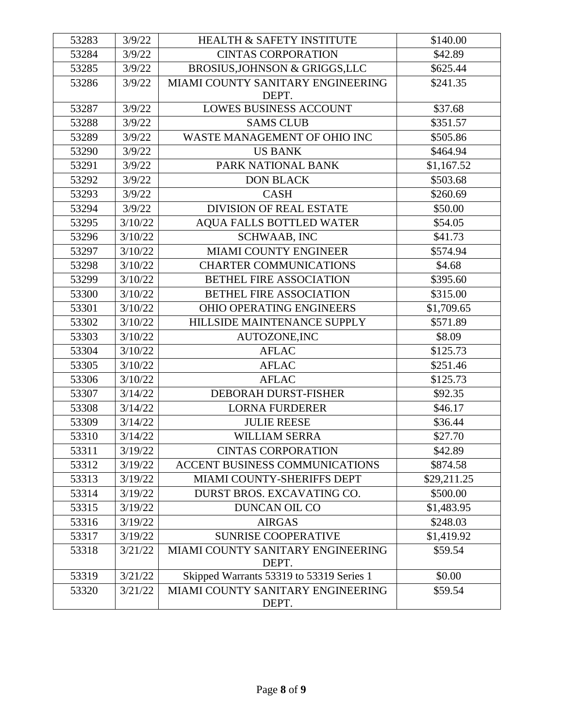| 53283 | 3/9/22  | <b>HEALTH &amp; SAFETY INSTITUTE</b>       | \$140.00    |
|-------|---------|--------------------------------------------|-------------|
| 53284 | 3/9/22  | <b>CINTAS CORPORATION</b>                  | \$42.89     |
| 53285 | 3/9/22  | BROSIUS, JOHNSON & GRIGGS, LLC             | \$625.44    |
|       |         |                                            |             |
| 53286 | 3/9/22  | MIAMI COUNTY SANITARY ENGINEERING<br>DEPT. | \$241.35    |
| 53287 | 3/9/22  | <b>LOWES BUSINESS ACCOUNT</b>              | \$37.68     |
| 53288 | 3/9/22  | <b>SAMS CLUB</b>                           | \$351.57    |
| 53289 | 3/9/22  | WASTE MANAGEMENT OF OHIO INC               | \$505.86    |
| 53290 | 3/9/22  | <b>US BANK</b>                             | \$464.94    |
| 53291 | 3/9/22  | PARK NATIONAL BANK                         | \$1,167.52  |
| 53292 | 3/9/22  | <b>DON BLACK</b>                           | \$503.68    |
| 53293 | 3/9/22  | <b>CASH</b>                                | \$260.69    |
| 53294 | 3/9/22  | <b>DIVISION OF REAL ESTATE</b>             | \$50.00     |
| 53295 | 3/10/22 | AQUA FALLS BOTTLED WATER                   | \$54.05     |
| 53296 | 3/10/22 | SCHWAAB, INC                               | \$41.73     |
| 53297 | 3/10/22 | <b>MIAMI COUNTY ENGINEER</b>               | \$574.94    |
| 53298 | 3/10/22 | <b>CHARTER COMMUNICATIONS</b>              | \$4.68      |
| 53299 | 3/10/22 | <b>BETHEL FIRE ASSOCIATION</b>             | \$395.60    |
| 53300 | 3/10/22 | <b>BETHEL FIRE ASSOCIATION</b>             | \$315.00    |
| 53301 | 3/10/22 | <b>OHIO OPERATING ENGINEERS</b>            | \$1,709.65  |
| 53302 | 3/10/22 | HILLSIDE MAINTENANCE SUPPLY                | \$571.89    |
| 53303 | 3/10/22 | AUTOZONE, INC                              | \$8.09      |
| 53304 | 3/10/22 | <b>AFLAC</b>                               | \$125.73    |
| 53305 | 3/10/22 | <b>AFLAC</b>                               | \$251.46    |
| 53306 | 3/10/22 | <b>AFLAC</b>                               | \$125.73    |
| 53307 | 3/14/22 | DEBORAH DURST-FISHER                       | \$92.35     |
| 53308 | 3/14/22 | <b>LORNA FURDERER</b>                      | \$46.17     |
| 53309 | 3/14/22 | <b>JULIE REESE</b>                         | \$36.44     |
| 53310 | 3/14/22 | <b>WILLIAM SERRA</b>                       | \$27.70     |
| 53311 | 3/19/22 | <b>CINTAS CORPORATION</b>                  | \$42.89     |
| 53312 | 3/19/22 | ACCENT BUSINESS COMMUNICATIONS             | \$874.58    |
| 53313 | 3/19/22 | MIAMI COUNTY-SHERIFFS DEPT                 | \$29,211.25 |
| 53314 | 3/19/22 | DURST BROS. EXCAVATING CO.                 | \$500.00    |
| 53315 | 3/19/22 | <b>DUNCAN OIL CO</b>                       | \$1,483.95  |
| 53316 | 3/19/22 | <b>AIRGAS</b>                              | \$248.03    |
| 53317 | 3/19/22 | <b>SUNRISE COOPERATIVE</b>                 | \$1,419.92  |
| 53318 | 3/21/22 | MIAMI COUNTY SANITARY ENGINEERING<br>DEPT. | \$59.54     |
| 53319 | 3/21/22 | Skipped Warrants 53319 to 53319 Series 1   | \$0.00      |
| 53320 | 3/21/22 | MIAMI COUNTY SANITARY ENGINEERING<br>DEPT. | \$59.54     |